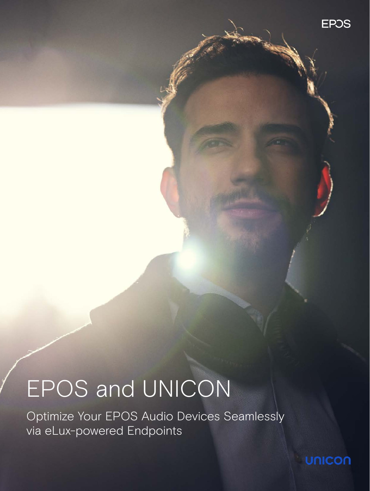**EPOS** 

# EPOS and UNICON

Optimize Your EPOS Audio Devices Seamlessly via eLux-powered Endpoints

**UNICON**